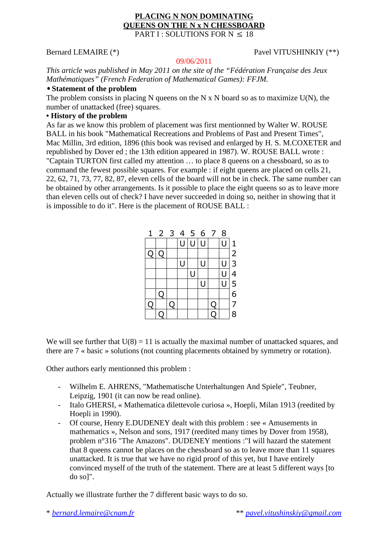#### **PLACING N NON DOMINATING QUEENS ON THE N x N CHESSBOARD**  PART I : SOLUTIONS FOR  $N < 18$

# Bernard LEMAIRE (\*) Pavel VITUSHINKIY (\*\*)

#### 09/06/2011

*This article was published in May 2011 on the site of the "Fédération Française des Jeux Mathématiques" (French Federation of Mathematical Games): FFJM.* 

### • **Statement of the problem**

The problem consists in placing N queens on the N x N board so as to maximize  $U(N)$ , the number of unattacked (free) squares.

## **• History of the problem**

As far as we know this problem of placement was first mentionned by Walter W. ROUSE BALL in his book "Mathematical Recreations and Problems of Past and Present Times", Mac Millin, 3rd edition, 1896 (this book was revised and enlarged by H. S. M.COXETER and republished by Dover ed ; the 13th edition appeared in 1987). W. ROUSE BALL wrote : "Captain TURTON first called my attention … to place 8 queens on a chessboard, so as to command the fewest possible squares. For example : if eight queens are placed on cells 21, 22, 62, 71, 73, 77, 82, 87, eleven cells of the board will not be in check. The same number can be obtained by other arrangements. Is it possible to place the eight queens so as to leave more than eleven cells out of check? I have never succeeded in doing so, neither in showing that it is impossible to do it". Here is the placement of ROUSE BALL :

| $\mathbf{1}$ |   |    |   |     |   | 2 3 4 5 6 7 | 8      |                                            |
|--------------|---|----|---|-----|---|-------------|--------|--------------------------------------------|
|              |   |    | U | U U |   |             | Ū      | $\mathbf{1}$                               |
| Q            |   |    |   |     |   |             |        |                                            |
|              |   |    | U |     | U |             | U      | $\begin{array}{c} 2 \\ 3 \\ 4 \end{array}$ |
|              |   |    |   | U   |   |             | $\cup$ |                                            |
|              |   |    |   |     | U |             | Ū      | $\frac{5}{6}$                              |
|              | С |    |   |     |   |             |        |                                            |
| С            |   | ่ว |   |     |   | l.          |        | 7                                          |
|              |   |    |   |     |   |             |        | 8                                          |

We will see further that  $U(8) = 11$  is actually the maximal number of unattacked squares, and there are 7 « basic » solutions (not counting placements obtained by symmetry or rotation).

Other authors early mentionned this problem :

- Wilhelm E. AHRENS, "Mathematische Unterhaltungen And Spiele", Teubner, Leipzig, 1901 (it can now be read online).
- Italo GHERSI, « Mathematica dilettevole curiosa », Hoepli, Milan 1913 (reedited by Hoepli in 1990).
- Of course, Henry E.DUDENEY dealt with this problem : see « Amusements in mathematics », Nelson and sons, 1917 (reedited many times by Dover from 1958), problem n°316 "The Amazons". DUDENEY mentions :"I will hazard the statement that 8 queens cannot be places on the chessboard so as to leave more than 11 squares unattacked. It is true that we have no rigid proof of this yet, but I have entirely convinced myself of the truth of the statement. There are at least 5 different ways [to do so]".

Actually we illustrate further the 7 different basic ways to do so.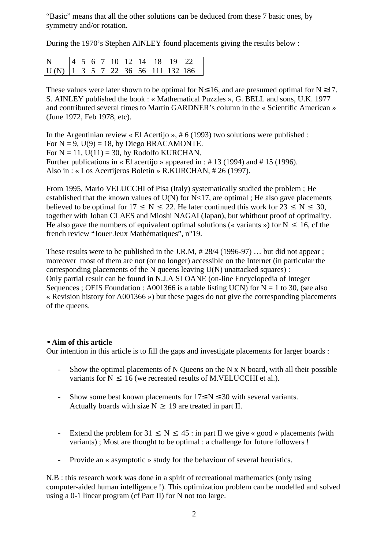"Basic" means that all the other solutions can be deduced from these 7 basic ones, by symmetry and/or rotation.

During the 1970's Stephen AINLEY found placements giving the results below :

| N 4 5 6 7 10 12 14 18 19 22                |  |  |  |  |  |
|--------------------------------------------|--|--|--|--|--|
| $\boxed{U(N)$ 1 3 5 7 22 36 56 111 132 186 |  |  |  |  |  |

These values were later shown to be optimal for  $N \le 16$ , and are presumed optimal for  $N \ge 17$ . S. AINLEY published the book : « Mathematical Puzzles », G. BELL and sons, U.K. 1977 and contributed several times to Martin GARDNER's column in the « Scientific American » (June 1972, Feb 1978, etc).

In the Argentinian review « El Acertijo », # 6 (1993) two solutions were published : For  $N = 9$ ,  $U(9) = 18$ , by Diego BRACAMONTE. For  $N = 11$ ,  $U(11) = 30$ , by Rodolfo KURCHAN. Further publications in « El acertijo » appeared in : # 13 (1994) and # 15 (1996). Also in : « Los Acertijeros Boletin » R.KURCHAN, # 26 (1997).

From 1995, Mario VELUCCHI of Pisa (Italy) systematically studied the problem ; He established that the known values of  $U(N)$  for N<17, are optimal ; He also gave placements believed to be optimal for  $17 \le N \le 22$ . He later continued this work for  $23 \le N \le 30$ . together with Johan CLAES and Mioshi NAGAI (Japan), but whithout proof of optimality. He also gave the numbers of equivalent optimal solutions (« variants ») for  $N \le 16$ , cf the french review "Jouer Jeux Mathématiques", n°19.

These results were to be published in the J.R.M,  $\# 28/4$  (1996-97) ... but did not appear ; moreover most of them are not (or no longer) accessible on the Internet (in particular the corresponding placements of the N queens leaving U(N) unattacked squares) : Only partial result can be found in N.J.A SLOANE (on-line Encyclopedia of Integer Sequences ; OEIS Foundation : A001366 is a table listing UCN) for  $N = 1$  to 30, (see also « Revision history for A001366 ») but these pages do not give the corresponding placements of the queens.

#### • **Aim of this article**

Our intention in this article is to fill the gaps and investigate placements for larger boards :

- Show the optimal placements of N Queens on the N x N board, with all their possible variants for  $N \le 16$  (we recreated results of M.VELUCCHI et al.).
- Show some best known placements for  $17 \le N \le 30$  with several variants. Actually boards with size  $N \ge 19$  are treated in part II.
- Extend the problem for  $31 \le N \le 45$ : in part II we give « good » placements (with variants) ; Most are thought to be optimal : a challenge for future followers !
- Provide an « asymptotic » study for the behaviour of several heuristics.

N.B : this research work was done in a spirit of recreational mathematics (only using computer-aided human intelligence !). This optimization problem can be modelled and solved using a 0-1 linear program (cf Part II) for N not too large.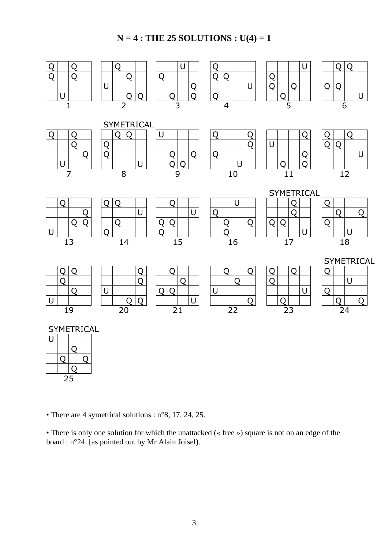# **N = 4 : THE 25 SOLUTIONS : U(4) = 1**



• There are 4 symetrical solutions : n°8, 17, 24, 25.

• There is only one solution for which the unattacked (« free ») square is not on an edge of the board : n°24. [as pointed out by Mr Alain Joisel).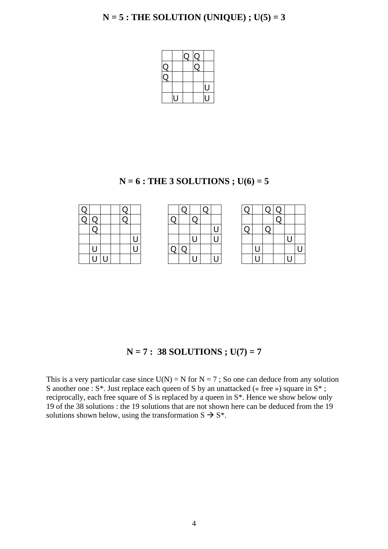

**N = 6 : THE 3 SOLUTIONS ; U(6) = 5** 

# **N = 7 : 38 SOLUTIONS ; U(7) = 7**

This is a very particular case since  $U(N) = N$  for  $N = 7$ ; So one can deduce from any solution S another one : S<sup>\*</sup>. Just replace each queen of S by an unattacked (« free ») square in S<sup>\*</sup>; reciprocally, each free square of S is replaced by a queen in S\*. Hence we show below only 19 of the 38 solutions : the 19 solutions that are not shown here can be deduced from the 19 solutions shown below, using the transformation  $S \rightarrow S^*$ .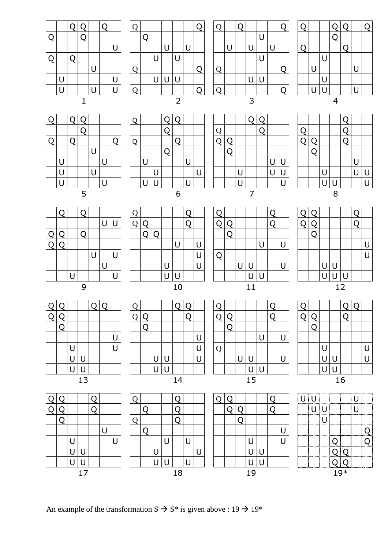|   | Q |   |    |   |   |   |   | Q |   |        |    |   |   |   | Q |   |        |   |   |   |           | Q                          |        |     |    |   |                |
|---|---|---|----|---|---|---|---|---|---|--------|----|---|---|---|---|---|--------|---|---|---|-----------|----------------------------|--------|-----|----|---|----------------|
|   |   |   |    |   |   | U |   |   |   |        |    |   | U |   |   |   |        | U |   | U |           |                            |        |     |    |   |                |
|   |   | U |    |   |   | U |   |   |   |        |    |   | U | Q |   |   |        |   |   |   |           |                            | U      |     |    |   | U              |
|   |   | U | U  |   |   |   |   |   | U | $\cup$ |    |   | U |   |   | U | $\cup$ |   |   | U |           |                            | $\cup$ |     |    |   | $\bigcup$      |
|   |   | U | U  |   |   |   |   |   | U | $\cup$ |    |   |   |   |   |   | U      | U |   |   |           |                            | $\cup$ | U   |    |   |                |
|   |   |   | 13 |   |   |   |   |   |   |        | 14 |   |   |   |   |   | 15     |   |   |   |           |                            |        |     | 16 |   |                |
| O | Ω |   |    | Q |   |   | Q |   |   |        | Q  |   |   | Q |   |   |        |   | Q |   | <b>UU</b> |                            |        |     |    | U |                |
| Q | Q |   |    | Q |   |   |   | O |   |        | Q  |   |   |   | Q | Q |        |   | Q |   |           | $\cup$                     | U      |     |    | U |                |
|   | Q |   |    |   |   |   | Q |   |   |        | Q  |   |   |   |   | Q |        |   |   |   |           |                            | U      |     |    |   |                |
|   |   |   |    |   | U |   |   | Q |   |        |    |   |   |   |   |   |        |   |   | U |           |                            |        |     |    |   | $\overline{Q}$ |
|   |   | U |    |   |   | U |   |   |   | U      |    | U |   |   |   |   | U      |   |   | U |           |                            |        | Q   |    |   | Q              |
|   |   | U | U  |   |   |   |   |   | U |        |    |   | U |   |   |   | U      | U |   |   |           |                            |        | O   | ∩  |   |                |
|   |   | U | U  |   |   |   |   |   | U | $\cup$ |    | U |   |   |   |   | U      | U |   |   |           | 'nanananan'i mananan'i man |        | ∩   | ∩  |   |                |
|   |   |   | 17 |   |   |   |   |   |   |        | 18 |   |   |   |   |   | 19     |   |   |   |           |                            |        | 19* |    |   |                |

An example of the transformation  $S \rightarrow S^*$  is given above : 19  $\rightarrow$  19\*

Q Q | Q Q | Q | | Q Q | Q | | Q | | Q | Q | | Q | | Q | | Q | | Q | | Q | | Q | | Q Q Q Q Q Q Q Q Q Q Q

|    | $\overline{Q}$ |   | Q |   |   |   |
|----|----------------|---|---|---|---|---|
|    |                |   |   |   | U | U |
| Q  | Q              |   |   |   |   |   |
| ้ว |                |   |   |   |   |   |
|    |                |   |   | U |   | U |
|    |                |   |   |   | U |   |
|    |                | U |   |   |   | Ù |
|    |                |   | q |   |   |   |

|   |  |          |  | U |  |  |               |   |  |  |     |   |   |  |  |     |  |  |
|---|--|----------|--|---|--|--|---------------|---|--|--|-----|---|---|--|--|-----|--|--|
| Q |  |          |  |   |  |  |               |   |  |  |     |   |   |  |  |     |  |  |
| Q |  |          |  |   |  |  |               |   |  |  |     | ∼ | ◡ |  |  |     |  |  |
|   |  |          |  |   |  |  |               | J |  |  |     |   |   |  |  |     |  |  |
|   |  |          |  |   |  |  |               |   |  |  |     |   | ╰ |  |  |     |  |  |
|   |  |          |  |   |  |  |               |   |  |  |     |   |   |  |  |     |  |  |
|   |  | <u>—</u> |  |   |  |  | $\sim$ $\sim$ |   |  |  | . . |   |   |  |  | . . |  |  |

| Q |          |  |  |  |  |          |  |  |  |     |  |  |  |  |    |
|---|----------|--|--|--|--|----------|--|--|--|-----|--|--|--|--|----|
| Q |          |  |  |  |  |          |  |  |  |     |  |  |  |  |    |
|   |          |  |  |  |  |          |  |  |  |     |  |  |  |  |    |
|   |          |  |  |  |  |          |  |  |  |     |  |  |  |  |    |
|   |          |  |  |  |  |          |  |  |  |     |  |  |  |  |    |
|   | $\Omega$ |  |  |  |  | 1 $\cap$ |  |  |  | . 1 |  |  |  |  | 12 |

| Q |   |                           |    | Q         |   |
|---|---|---------------------------|----|-----------|---|
| า |   |                           |    | $\vec{C}$ |   |
|   |   |                           |    |           |   |
|   |   |                           |    |           | U |
|   |   |                           |    |           | Ù |
|   | U | $\underline{\mathsf{U}}$  |    |           |   |
|   |   | $\overline{\overline{U}}$ | U  |           |   |
|   |   |                           | 12 |           |   |

| $\overline{Q}$ |               | Q |               |   |   |  |
|----------------|---------------|---|---------------|---|---|--|
|                |               |   | $\frac{Q}{Q}$ |   |   |  |
| Q              |               |   |               |   |   |  |
|                |               |   |               | U |   |  |
|                |               |   |               |   | U |  |
|                | $\frac{U}{U}$ |   |               | U |   |  |
|                |               |   |               |   | U |  |
|                |               |   |               |   |   |  |

| ${\bf Q}$ |   |   | Q              | Q |   |   |
|-----------|---|---|----------------|---|---|---|
|           |   |   | $\overline{a}$ |   |   |   |
| Q         |   |   |                |   |   |   |
|           |   |   |                |   |   |   |
|           | U |   |                |   | U |   |
|           |   | U |                |   |   | U |
|           |   | U |                |   | U |   |
|           |   |   |                | 6 |   |   |



|   |        |   | Į |     |   |
|---|--------|---|---|-----|---|
| Q |        |   |   |     |   |
| J |        |   |   |     |   |
|   |        |   |   | $U$ |   |
|   | $\cup$ |   |   | Ū   | Ū |
|   |        | U |   |     |   |
|   |        | Ŕ |   |     |   |

|              |        | Q | Q |   | $\mathcal{Q}$ |  |
|--------------|--------|---|---|---|---------------|--|
| $\mathsf Q$  |        |   |   |   |               |  |
|              |        |   |   |   |               |  |
| $\mathcal Q$ |        |   |   |   |               |  |
|              |        |   |   | U |               |  |
|              | $\cup$ |   |   |   |               |  |
|              | Ū      |   |   | U |               |  |
|              |        |   | ٠ |   |               |  |

| Q |  |  |     |  |   |  |   |  |  |   |   |  |  |  |  |
|---|--|--|-----|--|---|--|---|--|--|---|---|--|--|--|--|
|   |  |  | . . |  |   |  |   |  |  |   |   |  |  |  |  |
| Q |  |  |     |  | J |  |   |  |  |   |   |  |  |  |  |
|   |  |  |     |  |   |  |   |  |  |   | ∼ |  |  |  |  |
|   |  |  |     |  | J |  |   |  |  | ◡ |   |  |  |  |  |
|   |  |  |     |  |   |  | ገ |  |  |   | ∼ |  |  |  |  |
|   |  |  |     |  |   |  |   |  |  |   |   |  |  |  |  |

| Q                       |   | Q |   |   |   | $\mathsf C$ |
|-------------------------|---|---|---|---|---|-------------|
|                         |   |   |   | U |   |             |
|                         | U |   | U |   | U |             |
|                         |   |   |   | U |   |             |
| $\overline{\textbf{Q}}$ |   |   |   |   |   | Q           |
|                         |   |   | U | U |   |             |
| Ų                       |   |   |   |   |   |             |
|                         |   |   |   |   |   |             |

| Ų |   |          | Q         | Q  |   | $\dot{\mathsf{Q}}$ |
|---|---|----------|-----------|----|---|--------------------|
|   |   |          | $\vec{Q}$ |    |   |                    |
| Ú |   |          |           | Ċ, |   |                    |
|   |   | U        |           |    |   |                    |
|   | U |          |           |    | U |                    |
|   |   | <u>U</u> |           |    |   |                    |
|   | Ù |          |           |    | U |                    |
|   |   |          | л         |    |   |                    |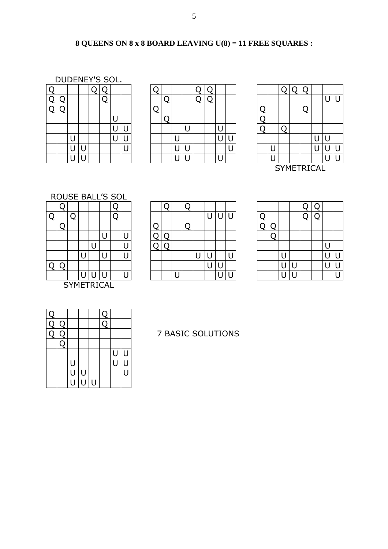# **8 QUEENS ON 8 x 8 BOARD LEAVING U(8) = 11 FREE SQUARES :**

DUDENEY'S SOL.

| Ü |   |   | О | U |   |   |
|---|---|---|---|---|---|---|
| Q |   |   |   |   |   |   |
|   |   |   |   |   |   |   |
|   |   |   |   |   | U |   |
|   |   |   |   |   | U | U |
|   | U |   |   |   | Ū | Ù |
|   | Ū | U |   |   |   | Ū |
|   | Ū | U |   |   |   |   |

| ∩<br>Q |  |  |  | . . |  |  |  |  |  |  |  |  |  |  |
|--------|--|--|--|-----|--|--|--|--|--|--|--|--|--|--|
|        |  |  |  |     |  |  |  |  |  |  |  |  |  |  |
|        |  |  |  |     |  |  |  |  |  |  |  |  |  |  |
|        |  |  |  |     |  |  |  |  |  |  |  |  |  |  |
|        |  |  |  |     |  |  |  |  |  |  |  |  |  |  |
|        |  |  |  |     |  |  |  |  |  |  |  |  |  |  |
|        |  |  |  |     |  |  |  |  |  |  |  |  |  |  |
|        |  |  |  |     |  |  |  |  |  |  |  |  |  |  |
|        |  |  |  |     |  |  |  |  |  |  |  |  |  |  |

| ⌒ |   |   |  |   |  |  |  |  |  |  |  |            |  |  |
|---|---|---|--|---|--|--|--|--|--|--|--|------------|--|--|
| ∩ |   |   |  |   |  |  |  |  |  |  |  |            |  |  |
|   |   |   |  |   |  |  |  |  |  |  |  |            |  |  |
|   |   |   |  |   |  |  |  |  |  |  |  |            |  |  |
|   | U |   |  | ⊾ |  |  |  |  |  |  |  |            |  |  |
|   | U | L |  |   |  |  |  |  |  |  |  |            |  |  |
|   |   |   |  |   |  |  |  |  |  |  |  |            |  |  |
|   |   |   |  |   |  |  |  |  |  |  |  | SYMETRICAL |  |  |

# ROUSE BALL'S SOL

|  |   |   | U                 | U |
|--|---|---|-------------------|---|
|  |   | U |                   | Ù |
|  | U |   | U                 | Ū |
|  |   |   |                   |   |
|  | U | U | U                 |   |
|  |   |   | <b>SYMETRICAL</b> |   |

|   | ___ |  | __ | ___ |  |  |  |  |  |  |  |  |  |  |
|---|-----|--|----|-----|--|--|--|--|--|--|--|--|--|--|
|   |     |  |    |     |  |  |  |  |  |  |  |  |  |  |
| ◠ |     |  |    |     |  |  |  |  |  |  |  |  |  |  |
|   |     |  |    |     |  |  |  |  |  |  |  |  |  |  |
|   |     |  |    |     |  |  |  |  |  |  |  |  |  |  |
|   |     |  |    |     |  |  |  |  |  |  |  |  |  |  |
|   |     |  |    |     |  |  |  |  |  |  |  |  |  |  |
| ∩ |     |  |    |     |  |  |  |  |  |  |  |  |  |  |
|   |     |  |    |     |  |  |  |  |  |  |  |  |  |  |

| ⌒ |  |  |  |  |  |  |  |  |  |  |  |  |   |
|---|--|--|--|--|--|--|--|--|--|--|--|--|---|
|   |  |  |  |  |  |  |  |  |  |  |  |  |   |
|   |  |  |  |  |  |  |  |  |  |  |  |  |   |
|   |  |  |  |  |  |  |  |  |  |  |  |  |   |
|   |  |  |  |  |  |  |  |  |  |  |  |  |   |
| ∩ |  |  |  |  |  |  |  |  |  |  |  |  | U |
|   |  |  |  |  |  |  |  |  |  |  |  |  |   |

| $\overline{\phantom{a}}$ |                |  |  |   |
|--------------------------|----------------|--|--|---|
|                          |                |  |  |   |
|                          |                |  |  |   |
|                          |                |  |  | U |
|                          | U              |  |  |   |
|                          | $\overline{U}$ |  |  |   |
|                          |                |  |  |   |

# 7 BASIC SOLUTIONS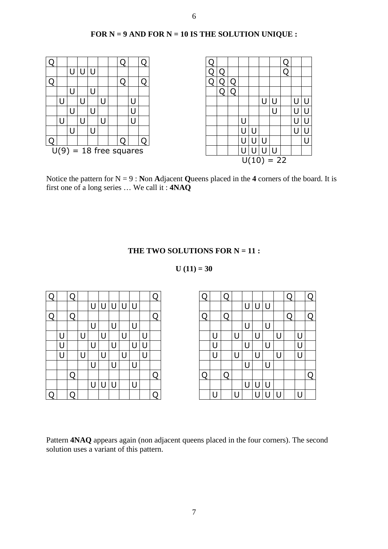# **FOR N = 9 AND FOR N = 10 IS THE SOLUTION UNIQUE :**



Notice the pattern for  $N = 9$ : **Non Adjacent Queens placed in the 4 corners of the board. It is** first one of a long series … We call it : **4NAQ**

#### THE TWO SOLUTIONS FOR N = 11 :

#### $U(11) = 30$

| Q |   |  |     |   |   |   | Q | Ω | O |   |   |   | Q |   | Q        |
|---|---|--|-----|---|---|---|---|---|---|---|---|---|---|---|----------|
|   |   |  | ' ' |   |   |   |   |   |   | Н | U | U |   |   |          |
| Ο |   |  |     |   |   |   | Ω |   | C |   |   |   | Q |   | $\Omega$ |
|   |   |  |     |   |   |   |   |   |   |   |   | U |   |   |          |
|   | U |  |     |   |   |   |   |   |   |   |   |   |   |   |          |
|   | U |  |     |   |   |   |   |   |   |   |   | U |   | U |          |
|   | U |  |     | J |   |   |   |   |   |   |   |   |   | Ù |          |
|   |   |  |     |   | - |   |   |   |   |   |   | U |   |   |          |
|   |   |  |     |   |   |   | O |   | O |   |   |   |   |   | Q        |
|   |   |  |     |   |   | U |   |   |   |   |   |   |   |   |          |
| Q |   |  |     |   |   |   | Ο |   |   |   |   |   |   |   |          |

| Q |   | Ω |   |   |  |   |   |  |   | ∩ |   |     |  |   | ∩ |
|---|---|---|---|---|--|---|---|--|---|---|---|-----|--|---|---|
|   |   |   | U | U |  | U |   |  |   |   | U |     |  |   |   |
| Q |   | ∩ |   |   |  |   | ∩ |  |   |   |   |     |  |   | ∩ |
|   |   |   |   |   |  | U |   |  |   |   |   | - 1 |  |   |   |
|   |   |   |   |   |  |   |   |  |   |   |   |     |  | U |   |
|   | U |   |   |   |  |   |   |  | U |   |   |     |  | U |   |
|   | U |   |   |   |  |   |   |  | U |   |   |     |  | U |   |
|   |   |   |   |   |  |   |   |  |   |   |   |     |  |   |   |
|   |   | Ω |   |   |  |   | ∩ |  |   | ∩ |   |     |  |   | ∩ |
|   |   |   | U |   |  | U |   |  |   |   | U |     |  |   |   |
| Q |   | Q |   |   |  |   |   |  | U |   |   |     |  |   |   |

Pattern **4NAQ** appears again (non adjacent queens placed in the four corners). The second solution uses a variant of this pattern.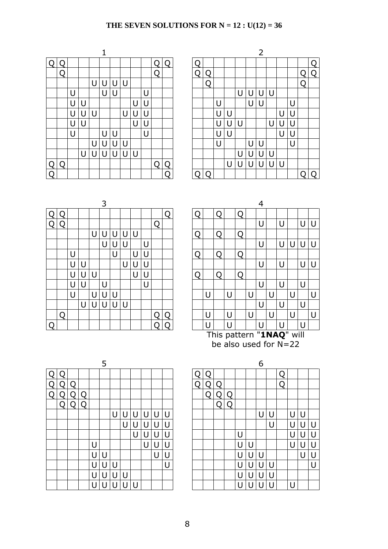# **THE SEVEN SOLUTIONS FOR N = 12 : U(12) = 36**

|          |   |   |   |   |   |   |   |   |    |   |    |  |   |   |   |   |   |   | 2 |   |   |   |   |
|----------|---|---|---|---|---|---|---|---|----|---|----|--|---|---|---|---|---|---|---|---|---|---|---|
| Q        |   |   |   |   |   |   |   |   |    |   |    |  |   |   |   |   |   |   |   |   |   |   |   |
|          | O |   |   |   |   |   |   |   |    | O |    |  | ∩ |   |   |   |   |   |   |   |   |   |   |
|          |   |   |   | U |   |   | U |   |    |   |    |  |   | ∩ |   |   |   |   |   |   |   |   |   |
|          |   | U |   |   | U | U |   |   | U  |   |    |  |   |   |   |   | U |   |   |   |   |   |   |
|          |   | U | U |   |   |   |   | U | IJ |   |    |  |   |   | U |   |   | U | U |   |   | U |   |
|          |   | U | U | U |   |   | U | U |    |   |    |  |   |   | U |   |   |   |   |   | Н | U |   |
|          |   | U | U |   |   |   |   | U | U  |   |    |  |   |   | U | U | U |   |   | U |   | U |   |
|          |   | U |   |   | U | U |   |   | U  |   |    |  |   |   | U | U |   |   |   |   | U | U |   |
|          |   |   |   | U |   | U | U |   |    |   |    |  |   |   | U |   |   | U |   |   |   | U |   |
|          |   |   | U | U | U | U | U | U |    |   |    |  |   |   |   |   | U |   |   |   |   |   |   |
| <u>Q</u> | Q |   |   |   |   |   |   |   |    | ∩ | וז |  |   |   |   | U | U | U | U | U | U |   |   |
| Q        |   |   |   |   |   |   |   |   |    |   |    |  |   |   |   |   |   |   |   |   |   |   | C |

|   |              |   |        |   |   |   |   |   |              |   |   |   |   |   |     |   |        | $\overline{2}$ |   |   |     |   |    |
|---|--------------|---|--------|---|---|---|---|---|--------------|---|---|---|---|---|-----|---|--------|----------------|---|---|-----|---|----|
| Q |              |   |        |   |   |   |   |   |              |   |   |   |   |   |     |   |        |                |   |   |     |   | ∩  |
|   | Q            |   |        |   |   |   |   |   |              | ∩ |   | ∩ |   |   |     |   |        |                |   |   |     | ∩ | ่ว |
|   |              |   |        | U | J |   |   |   |              |   |   |   | ∩ |   |     |   |        |                |   |   |     | Q |    |
|   |              | U |        |   | U | U |   |   | U            |   |   |   |   |   |     | U | U      | U              | U |   |     |   |    |
|   |              | U | U      |   |   |   |   | U | $\mathsf{L}$ |   |   |   |   | U |     |   | U      | U              |   |   | ו ו |   |    |
|   |              | U | U      | U |   |   | U | U | U            |   |   |   |   | U | l l |   |        |                |   | U | U   |   |    |
|   |              | U | $\cup$ |   |   |   |   | U | U            |   |   |   |   | U | Ū   | U |        |                | U | U | U   |   |    |
|   |              | U |        |   | U | U |   |   | U            |   |   |   |   | U | Ū   |   |        |                |   | U | U   |   |    |
|   |              |   |        | U | J | U |   |   |              |   |   |   |   | U |     |   | U      |                |   |   | U   |   |    |
|   |              |   | U      | U | U | U | U | U |              |   |   |   |   |   |     | U | $\cup$ | U              | U |   |     |   |    |
| Q | $\mathbf{C}$ |   |        |   |   |   |   |   |              | ∩ | 0 |   |   |   | U   | U | U      | U              | U | U |     |   |    |
| Q |              |   |        |   |   |   |   |   |              |   | റ |   |   |   |     |   |        |                |   |   |     |   |    |

|                |   |   |   |   | 3 |   |   |   |   |   |    |        |   |   |    |                |   | 4 |
|----------------|---|---|---|---|---|---|---|---|---|---|----|--------|---|---|----|----------------|---|---|
|                |   |   |   |   |   |   |   |   |   |   | r. | $\Box$ |   |   |    | $\overline{O}$ |   |   |
| $\overline{Q}$ | Q |   |   |   |   |   |   |   |   | Q |    |        |   |   |    |                |   | U |
|                |   |   |   | U | U |   | U | U |   |   |    | ┌      |   |   |    | O              |   |   |
|                |   |   |   |   | U | U | U |   | U |   |    |        |   |   |    |                |   | U |
|                |   | U |   |   |   | U |   | U | U |   |    | ∩<br>≺ |   | Q |    | Q              |   |   |
|                |   | U |   |   |   |   | U | U |   |   |    |        |   |   |    |                |   | U |
|                |   | U |   | U |   |   |   | U | U |   |    | ∩      |   |   |    | ∩              |   |   |
|                |   | U | U |   | U |   |   |   | U |   |    |        |   |   |    |                |   | U |
|                |   | U |   | U | U | U |   |   |   |   |    |        | U |   | U  |                | U |   |
|                |   |   | U | U | U | U | U |   |   |   |    |        |   |   |    |                |   | U |
|                | Q |   |   |   |   |   |   |   |   |   | С  |        | U |   | ιı |                | U |   |
|                |   |   |   |   |   |   |   |   |   |   |    |        | H |   | Н  |                |   | U |

|                            |                                                 |   |   |   | ັ |        |   |   |        |   |  |  |   |   |   |   |                          |   | ┱   |   |   |   |   |        |
|----------------------------|-------------------------------------------------|---|---|---|---|--------|---|---|--------|---|--|--|---|---|---|---|--------------------------|---|-----|---|---|---|---|--------|
| Ω                          |                                                 |   |   |   |   |        |   |   |        |   |  |  |   |   |   |   | Q                        |   |     |   |   |   |   |        |
| Q                          | וו                                              |   |   |   |   |        |   |   |        | Q |  |  |   |   |   |   |                          |   | U   |   | U |   | U | $\cup$ |
|                            |                                                 |   |   | U |   |        |   |   |        |   |  |  | Q |   | Q |   | Q                        |   |     |   |   |   |   |        |
|                            |                                                 |   |   |   | U | U      | U |   | U      |   |  |  |   |   |   |   |                          |   | U   |   | U | U | U | U      |
|                            |                                                 | U |   |   |   | U      |   | U | $\cup$ |   |  |  | Q |   | Q |   | Q                        |   |     |   |   |   |   |        |
|                            | U<br>U<br>$\mathsf{U}$<br>U<br>U<br>U<br>U<br>U |   |   |   |   |        |   |   |        |   |  |  |   |   |   | U |                          |   |     |   |   |   |   |        |
|                            | U<br>U<br>Ο<br>U<br>U<br>Q<br>U<br>O            |   |   |   |   |        |   |   |        |   |  |  |   |   |   |   |                          |   |     |   |   |   |   |        |
| U<br>U<br>U<br>U<br>U<br>U |                                                 |   |   |   |   |        |   |   |        |   |  |  |   |   |   |   |                          |   |     |   |   |   |   |        |
|                            |                                                 | U |   | U | U | $\cup$ |   |   |        |   |  |  |   | U |   | U |                          | U |     |   |   | U |   | U      |
|                            |                                                 |   | U | U | U | $\cup$ | U |   |        |   |  |  |   |   |   |   |                          |   |     |   | U |   | U |        |
|                            | ∩                                               |   |   |   |   |        |   |   |        |   |  |  |   |   |   | U |                          | U |     | U |   | U |   | U      |
| Q                          |                                                 |   |   |   |   |        |   |   |        |   |  |  |   | П |   | U |                          |   | ו ו |   | Н |   | U |        |
|                            |                                                 |   |   |   |   |        |   |   |        |   |  |  |   |   |   |   | This pattern "1NAQ" will |   |     |   |   |   |   |        |

be also used for N=22

|   |     |   |   | 5 |   |   |     |    |   |        |   |   |   |   |   |   | 6 |   |   |   |   |  |
|---|-----|---|---|---|---|---|-----|----|---|--------|---|---|---|---|---|---|---|---|---|---|---|--|
|   |     |   |   |   |   |   |     |    |   |        |   |   |   |   |   |   |   |   | Q |   |   |  |
|   |     |   |   |   |   |   |     |    |   |        | Ω | Ω | ∩ |   |   |   |   |   | O |   |   |  |
|   | ( ) | ∩ |   |   |   |   |     |    |   |        |   | Q | O | O |   |   |   |   |   |   |   |  |
| ◠ |     | ∩ |   |   |   |   |     |    |   |        |   |   | Q | Ω |   |   |   |   |   |   |   |  |
|   |     |   |   |   | U | U |     | IJ | U | U      |   |   |   |   |   |   | U |   |   | U | U |  |
|   |     |   |   |   |   | U | l l | IJ | U | U      |   |   |   |   |   |   |   | U |   | U | U |  |
|   |     |   |   |   |   |   | U   | U  | U | U      |   |   |   |   | U |   |   |   |   | U | U |  |
|   |     |   | U |   |   |   |     | U  | U | U      |   |   |   |   | U | U |   |   |   | U | U |  |
|   |     |   | U | U |   |   |     |    | U | U      |   |   |   |   | U | U | U |   |   |   | U |  |
|   |     |   | U | U |   |   |     |    |   | $\cup$ |   |   |   |   | U | U | U | U |   |   |   |  |
|   |     |   | U | U | U | U |     |    |   |        |   |   |   |   | U | U | U | U |   |   |   |  |
|   |     |   | Н | U | U |   |     |    |   |        |   |   |   |   | U |   |   |   |   | U |   |  |

|   |    |   |   |   |              |   |   |   |   |   |   |  |   |   |   |   | 6 |   |   |   |     |   |
|---|----|---|---|---|--------------|---|---|---|---|---|---|--|---|---|---|---|---|---|---|---|-----|---|
| Q |    |   |   |   |              |   |   |   |   |   |   |  |   |   |   |   |   |   | ∩ |   |     |   |
| Q | U  | ∩ |   |   |              |   |   |   |   |   |   |  |   |   |   |   |   |   | ∩ |   |     |   |
| Q | L. | ∩ | ∩ |   |              |   |   |   |   |   |   |  | 0 | Ω |   |   |   |   |   |   |     |   |
|   | Q  | Q | Ω |   |              |   |   |   |   |   |   |  | O | Q |   |   |   |   |   |   |     |   |
|   |    |   |   |   |              | U | U | U | U | U | U |  |   |   |   |   | U | U |   | U | U   |   |
|   |    |   |   |   |              |   | U | U | U | U | U |  |   |   |   |   |   | U |   | U | J   | U |
|   |    |   |   |   |              |   |   | U | U | U | U |  |   |   | U |   |   |   |   | U | ا ، | U |
|   |    |   |   | U |              |   |   |   | U | U | U |  |   |   | U | U |   |   |   | U | U   | U |
|   |    |   |   | U | U            |   |   |   |   | U | U |  |   |   | U |   |   |   |   |   | U   | U |
|   |    |   |   | U | U            | U |   |   |   |   | U |  |   |   | U | U |   |   |   |   |     | U |
|   |    |   |   | U | ل            | U | U |   |   |   |   |  |   |   | U | U |   |   |   |   |     |   |
|   |    |   |   | H | $\mathbf{I}$ | U |   |   |   |   |   |  |   |   | U | U |   |   |   | U |     |   |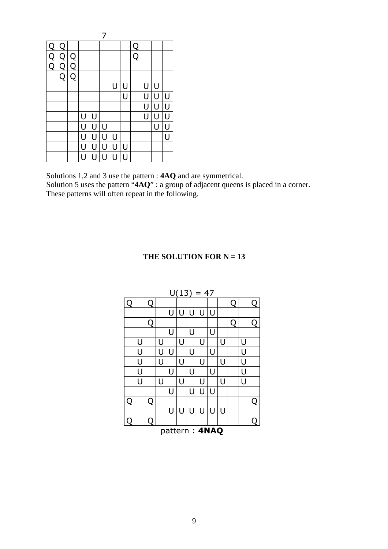| $\bar{\text{Q}}$            | Q |   |   |     |   |   |   |   |                |   |   |
|-----------------------------|---|---|---|-----|---|---|---|---|----------------|---|---|
| $\frac{\text{d}}{\text{Q}}$ | Q | Q |   |     |   |   |   | Q |                |   |   |
|                             | Q | Q |   |     |   |   |   |   |                |   |   |
|                             | Q | Q |   |     |   |   |   |   |                |   |   |
|                             |   |   |   |     |   | Ū | U |   | U              | U |   |
|                             |   |   |   |     |   |   | Ū |   | U              | U | U |
|                             |   |   |   |     |   |   |   |   | Ū              | U | U |
|                             |   |   | U | U   |   |   |   |   | $\overline{U}$ | Ū | Ū |
|                             |   |   | U | U   | U |   |   |   |                | Ū | U |
|                             |   |   | Ū | ו ו | U | Ù |   |   |                |   | П |
|                             |   |   | Ū | U   | U | Ū | U |   |                |   |   |
|                             |   |   | U | U   | U | U | U |   |                |   |   |

Solutions 1,2 and 3 use the pattern : **4AQ** and are symmetrical.

Solution 5 uses the pattern "**4AQ**" : a group of adjacent queens is placed in a corner. These patterns will often repeat in the following.

## **THE SOLUTION FOR**  $N = 13$

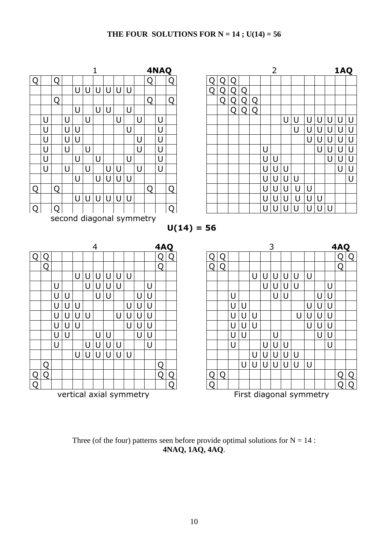## THE FOUR SOLUTIONS FOR  $N = 14$ ;  $U(14) = 56$



Three (of the four) patterns seen before provide optimal solutions for  $N = 14$ : **4NAQ, 1AQ, 4AQ**.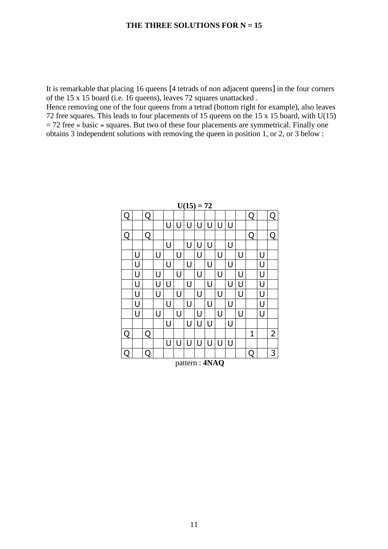It is remarkable that placing 16 queens [4 tetrads of non adjacent queens] in the four corners of the 15 x 15 board (i.e. 16 queens), leaves 72 squares unattacked .

Hence removing one of the four queens from a tetrad (bottom right for example), also leaves 72 free squares. This leads to four placements of 15 queens on the 15 x 15 board, with U(15)  $= 72$  free « basic » squares. But two of these four placements are symmetrical. Finally one obtains 3 independent solutions with removing the queen in position 1, or 2, or 3 below :

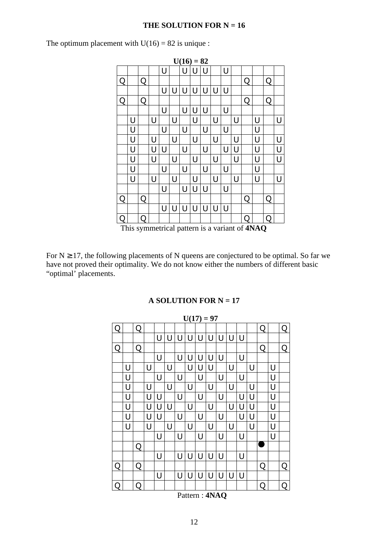#### **THE SOLUTION FOR**  $N = 16$

The optimum placement with  $U(16) = 82$  is unique :



This symmetrical pattern is a variant of **4NAQ**

For  $N \geq 17$ , the following placements of N queens are conjectured to be optimal. So far we have not proved their optimality. We do not know either the numbers of different basic "optimal' placements.

#### **A SOLUTION FOR N = 17**

|   |   |   |   |   |        |   |                              |   | $U(17) = 97$ |   |   |   |   |   |   |   |
|---|---|---|---|---|--------|---|------------------------------|---|--------------|---|---|---|---|---|---|---|
| O |   | Q |   |   |        |   |                              |   |              |   |   |   |   | Q |   | Q |
|   |   |   |   | U | U      | U | U                            | U | U            | U | U | U |   |   |   |   |
| Q |   | Q |   |   |        |   |                              |   |              |   |   |   |   | Q |   | Q |
|   |   |   |   | U |        | U | $\cup$                       | U | U            | U |   | U |   |   |   |   |
|   | U |   | U |   | $\cup$ |   | U                            | U | U            |   | U |   | U |   | U |   |
|   | U |   |   | U |        | U |                              | U |              | U |   | U |   |   | U |   |
|   | U |   | U |   | U      |   | U                            |   | U            |   | U |   | U |   | U |   |
|   | U |   | U | U |        | U |                              | U |              | U |   | U | U |   | U |   |
|   | U |   | U | U | U      |   | U                            |   | U            |   | U | U | U |   | U |   |
|   | U |   | U | U |        | U |                              | U |              | U |   | U | U |   | U |   |
|   | U |   | U |   | U      |   | U                            |   | U            |   | U |   | U |   | U |   |
|   |   |   |   | U |        | U |                              | U |              | U |   | U |   |   | U |   |
|   |   | Q |   |   |        |   |                              |   |              |   |   |   |   |   |   |   |
|   |   |   |   | U |        | U | U                            | U | U            | U |   | U |   |   |   |   |
| Q |   | Q |   |   |        |   |                              |   |              |   |   |   |   | Q |   | Q |
|   |   |   |   | U |        | U | U                            | U | U            | U | U | U |   |   |   |   |
| ∩ |   | Q |   |   |        |   |                              |   |              |   |   |   |   | Q |   | Q |
|   |   |   |   |   |        |   | $D_{\text{atform}}$ : $ANAD$ |   |              |   |   |   |   |   |   |   |

Pattern : **4NAQ**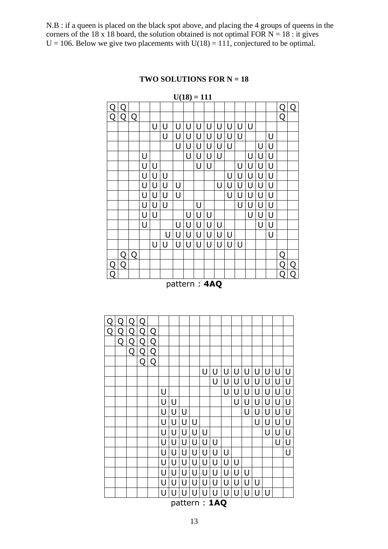N.B : if a queen is placed on the black spot above, and placing the 4 groups of queens in the corners of the 18 x 18 board, the solution obtained is not optimal FOR  $N = 18$ : it gives  $U = 106$ . Below we give two placements with  $U(18) = 111$ , conjectured to be optimal.

# $U(18) = 111$ Q Q Q Q Q Q Q Q  $U|U|U|U|U|U|U|U|U$  U U U U U U U U U <u>u|u|u|u|u| | |u|u<br>|u|u|u|u| | |u|u|u</u> U U U U U U U U U U U U U U U U U U U U U U U U U U U U U U U U U U U U U U U U U U U U U U U U U U U U U U U U U U U U U U U U U U U U U U U  $U|U|U|U|U|U|U|$  | | |U  $U|U|U|U|U|U|U|U$  Q Q Q Q Q Q Q Q | | | | | | | | | | | | | | | | | | Q | Q pattern : **4AQ**

| Q              |   |   |   |                |   |   |   |   |   |   |   |   |   |   |   |   |   |
|----------------|---|---|---|----------------|---|---|---|---|---|---|---|---|---|---|---|---|---|
| $\overline{Q}$ | Q | Q | Q | Q              |   |   |   |   |   |   |   |   |   |   |   |   |   |
|                | Q | Q | Q | $\overline{Q}$ |   |   |   |   |   |   |   |   |   |   |   |   |   |
|                |   | Q | Q | Q              |   |   |   |   |   |   |   |   |   |   |   |   |   |
|                |   |   | Q | Q              |   |   |   |   |   |   |   |   |   |   |   |   |   |
|                |   |   |   |                |   |   |   |   | U | U | U | U | U | U | U | U | U |
|                |   |   |   |                |   |   |   |   |   | U | U | U | U | U | U | U | U |
|                |   |   |   |                | U |   |   |   |   |   | U | U | U | U | U | U | U |
|                |   |   |   |                | U | U |   |   |   |   |   | U | U | U | U | U | U |
|                |   |   |   |                | U | U | U |   |   |   |   |   | U | U | U | U | U |
|                |   |   |   |                | U | U | U | U |   |   |   |   |   | U | U | U | U |
|                |   |   |   |                | U | U | U | U | U |   |   |   |   |   | U | U | U |
|                |   |   |   |                | U | U | U | U | U | U |   |   |   |   |   | U | U |
|                |   |   |   |                | U | U | U | U | U | U | U |   |   |   |   |   | Ū |
|                |   |   |   |                | U | U | U | U | U | U | U | U |   |   |   |   |   |
|                |   |   |   |                | U | U | U | U | U | U | U | U | U |   |   |   |   |
|                |   |   |   |                | U | U | U | U | U | U | U | U | U | U |   |   |   |
|                |   |   |   |                | U | U | U | U | U | U | U | U | U | U | U |   |   |
|                |   |   |   |                |   |   |   |   |   |   |   |   |   |   |   |   |   |

pattern : **1AQ**